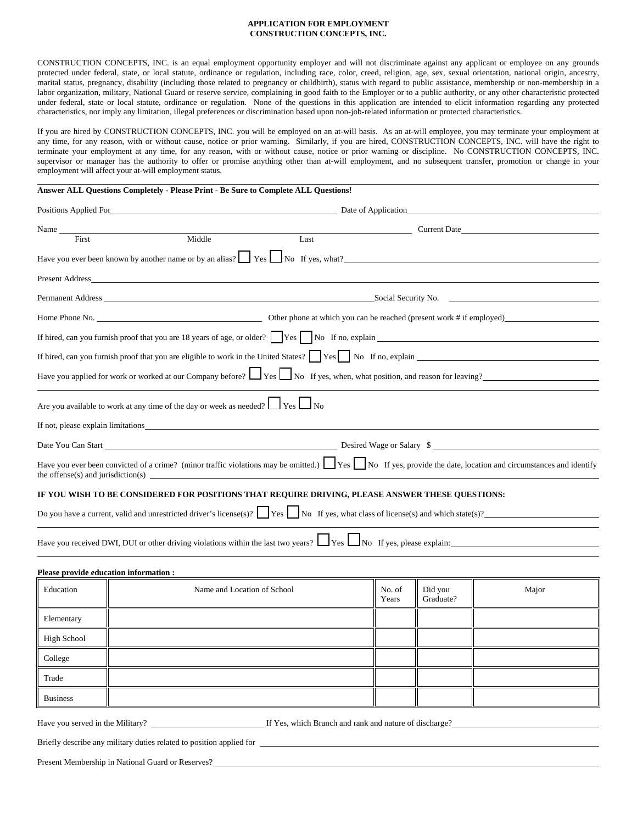#### **APPLICATION FOR EMPLOYMENT CONSTRUCTION CONCEPTS, INC.**

CONSTRUCTION CONCEPTS, INC. is an equal employment opportunity employer and will not discriminate against any applicant or employee on any grounds protected under federal, state, or local statute, ordinance or regulation, including race, color, creed, religion, age, sex, sexual orientation, national origin, ancestry, marital status, pregnancy, disability (including those related to pregnancy or childbirth), status with regard to public assistance, membership or non-membership in a labor organization, military, National Guard or reserve service, complaining in good faith to the Employer or to a public authority, or any other characteristic protected under federal, state or local statute, ordinance or regulation. None of the questions in this application are intended to elicit information regarding any protected characteristics, nor imply any limitation, illegal preferences or discrimination based upon non-job-related information or protected characteristics.

If you are hired by CONSTRUCTION CONCEPTS, INC. you will be employed on an at-will basis. As an at-will employee, you may terminate your employment at any time, for any reason, with or without cause, notice or prior warning. Similarly, if you are hired, CONSTRUCTION CONCEPTS, INC. will have the right to terminate your employment at any time, for any reason, with or without cause, notice or prior warning or discipline. No CONSTRUCTION CONCEPTS, INC. supervisor or manager has the authority to offer or promise anything other than at-will employment, and no subsequent transfer, promotion or change in your employment will affect your at-will employment status.

### **Answer ALL Questions Completely - Please Print - Be Sure to Complete ALL Questions!**

| Positions Applied For the same state of the state of the state of the state of the state of the state of the state of the state of the state of the state of the state of the state of the state of the state of the state of | Date of Application                                                                                                                                            |
|-------------------------------------------------------------------------------------------------------------------------------------------------------------------------------------------------------------------------------|----------------------------------------------------------------------------------------------------------------------------------------------------------------|
| Name                                                                                                                                                                                                                          | Current Date                                                                                                                                                   |
| Middle<br>Last<br>First                                                                                                                                                                                                       |                                                                                                                                                                |
| Have you ever been known by another name or by an alias? $\Box$ Yes $\Box$ No If yes, what?                                                                                                                                   |                                                                                                                                                                |
| Present Address                                                                                                                                                                                                               |                                                                                                                                                                |
|                                                                                                                                                                                                                               |                                                                                                                                                                |
|                                                                                                                                                                                                                               |                                                                                                                                                                |
|                                                                                                                                                                                                                               |                                                                                                                                                                |
|                                                                                                                                                                                                                               |                                                                                                                                                                |
|                                                                                                                                                                                                                               | Have you applied for work or worked at our Company before? $\Box$ Yes $\Box$ No If yes, when, what position, and reason for leaving?                           |
| Are you available to work at any time of the day or week as needed? $\Box$ Yes $\Box$ No                                                                                                                                      |                                                                                                                                                                |
| If not, please explain limitations                                                                                                                                                                                            |                                                                                                                                                                |
|                                                                                                                                                                                                                               | Desired Wage or Salary \$                                                                                                                                      |
| the offense(s) and jurisdiction(s) $\qquad \qquad$                                                                                                                                                                            | Have you ever been convicted of a crime? (minor traffic violations may be omitted.) [Yes] No If yes, provide the date, location and circumstances and identify |
| IF YOU WISH TO BE CONSIDERED FOR POSITIONS THAT REQUIRE DRIVING, PLEASE ANSWER THESE QUESTIONS:                                                                                                                               |                                                                                                                                                                |
|                                                                                                                                                                                                                               | Do you have a current, valid and unrestricted driver's license(s)? $\Box$ Yes $\Box$ No If yes, what class of license(s) and which state(s)?                   |
|                                                                                                                                                                                                                               | Have you received DWI, DUI or other driving violations within the last two years? $\Box$ Yes $\Box$ No If yes, please explain:                                 |

#### **Please provide education information :**

 $\overline{a}$ 

| Education       | Name and Location of School | No. of<br>Years | Did you<br>Graduate? | Major |
|-----------------|-----------------------------|-----------------|----------------------|-------|
| Elementary      |                             |                 |                      |       |
| High School     |                             |                 |                      |       |
| College         |                             |                 |                      |       |
| Trade           |                             |                 |                      |       |
| <b>Business</b> |                             |                 |                      |       |

Have you served in the Military? If Yes, which Branch and rank and nature of discharge?

Briefly describe any military duties related to position applied for

|  | Present Membership in National Guard or Reserves? |  |  |  |  |  |
|--|---------------------------------------------------|--|--|--|--|--|
|--|---------------------------------------------------|--|--|--|--|--|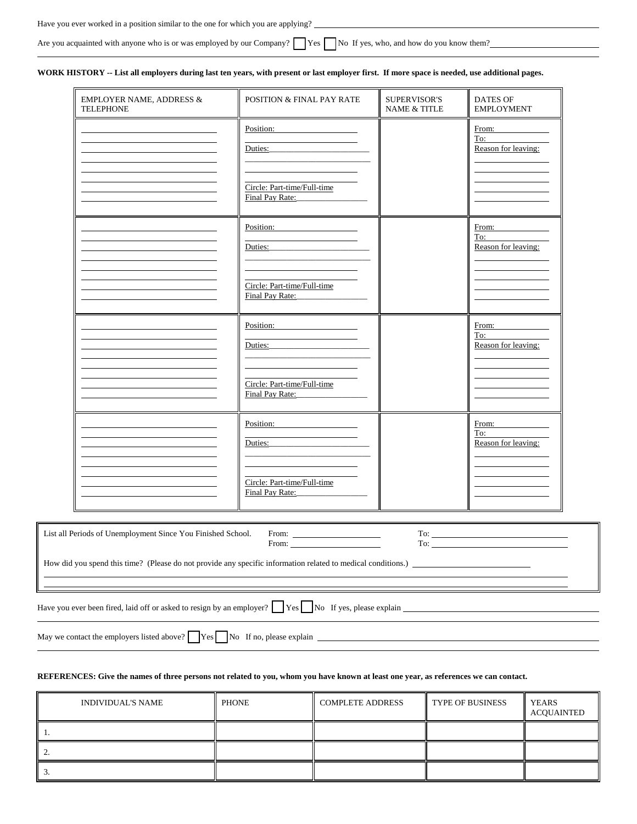| Have you ever worked in a position similar to the one for which you are applying?                                                 |  |
|-----------------------------------------------------------------------------------------------------------------------------------|--|
|                                                                                                                                   |  |
| Are you acquainted with anyone who is or was employed by our Company? $\Box$ Yes $\Box$ No If yes, who, and how do you know them? |  |

# **WORK HISTORY -- List all employers during last ten years, with present or last employer first. If more space is needed, use additional pages.**

 $\overline{a}$ 

 $\overline{a}$ 

| <b>EMPLOYER NAME, ADDRESS &amp;</b><br><b>TELEPHONE</b>                                                                  | POSITION & FINAL PAY RATE                                      | <b>SUPERVISOR'S</b><br><b>NAME &amp; TITLE</b> | <b>DATES OF</b><br><b>EMPLOYMENT</b>                                                                                                                                                                                                                                                                                                                                                                                                                                                                                                                                                          |
|--------------------------------------------------------------------------------------------------------------------------|----------------------------------------------------------------|------------------------------------------------|-----------------------------------------------------------------------------------------------------------------------------------------------------------------------------------------------------------------------------------------------------------------------------------------------------------------------------------------------------------------------------------------------------------------------------------------------------------------------------------------------------------------------------------------------------------------------------------------------|
|                                                                                                                          | Position:<br>Du <u>ties:</u>                                   |                                                | From:<br>To: the contract of the contract of the contract of the contract of the contract of the contract of the contract of the contract of the contract of the contract of the contract of the contract of the contract of the contra<br>Reason for leaving:                                                                                                                                                                                                                                                                                                                                |
| <u> 1980 - Johann Barnett, fransk politik (d. 1980)</u>                                                                  | Circle: Part-time/Full-time<br>Final Pay Rate:                 |                                                |                                                                                                                                                                                                                                                                                                                                                                                                                                                                                                                                                                                               |
| <u> 1980 - Johann Stoff, fransk politik (d. 1980)</u>                                                                    | Position:<br>Duties: 2000                                      |                                                | From:<br>To:<br>Reason for leaving:                                                                                                                                                                                                                                                                                                                                                                                                                                                                                                                                                           |
| <u> 1980 - Johann Barbara, martxa amerikan per</u>                                                                       | Circle: Part-time/Full-time<br>Final Pay Rate:                 |                                                |                                                                                                                                                                                                                                                                                                                                                                                                                                                                                                                                                                                               |
|                                                                                                                          | Position:                                                      |                                                | From:<br>To:<br>Reason for leaving:                                                                                                                                                                                                                                                                                                                                                                                                                                                                                                                                                           |
| <u> 1980 - Johann Barn, mars eta bainar eta bainar eta baina eta baina eta baina eta baina eta baina eta baina e</u>     | Circle: Part-time/Full-time<br>Final Pay Rate: Final Pay Rate: |                                                |                                                                                                                                                                                                                                                                                                                                                                                                                                                                                                                                                                                               |
|                                                                                                                          | Position:<br>Duties: 2000                                      |                                                | From:<br>To:<br>Reason for leaving:                                                                                                                                                                                                                                                                                                                                                                                                                                                                                                                                                           |
| <u> 1980 - Johann Barn, mars ann an t-Amhain Aonaich an t-Aonaich an t-Aonaich ann an t-Aonaich ann an t-Aonaich</u>     | Circle: Part-time/Full-time<br>Final Pay Rate:                 |                                                |                                                                                                                                                                                                                                                                                                                                                                                                                                                                                                                                                                                               |
| List all Periods of Unemployment Since You Finished School.                                                              | From: $\qquad \qquad$<br>From:                                 |                                                | $To: \begin{tabular}{ c c c c } \hline \rule{0.3cm}{.01cm} \rule{0.3cm}{.01cm} \rule{0.3cm}{.01cm} \rule{0.3cm}{.01cm} \rule{0.3cm}{.01cm} \rule{0.3cm}{.01cm} \rule{0.3cm}{.01cm} \rule{0.3cm}{.01cm} \rule{0.3cm}{.01cm} \rule{0.3cm}{.01cm} \rule{0.3cm}{.01cm} \rule{0.3cm}{.01cm} \rule{0.3cm}{.01cm} \rule{0.3cm}{.01cm} \rule{0.3cm}{.01cm} \rule{0$<br>To: the contract of the contract of the contract of the contract of the contract of the contract of the contract of the contract of the contract of the contract of the contract of the contract of the contract of the contra |
| Have you ever been fired, laid off or asked to resign by an employer? $\Box$ Yes $\Box$ No If yes, please explain $\Box$ |                                                                |                                                |                                                                                                                                                                                                                                                                                                                                                                                                                                                                                                                                                                                               |

# **REFERENCES: Give the names of three persons not related to you, whom you have known at least one year, as references we can contact.**

| <b>INDIVIDUAL'S NAME</b> | <b>PHONE</b> | <b>COMPLETE ADDRESS</b> | <b>TYPE OF BUSINESS</b> | <b>YEARS</b><br>ACQUAINTED |
|--------------------------|--------------|-------------------------|-------------------------|----------------------------|
| . .                      |              |                         |                         |                            |
|                          |              |                         |                         |                            |
|                          |              |                         |                         |                            |